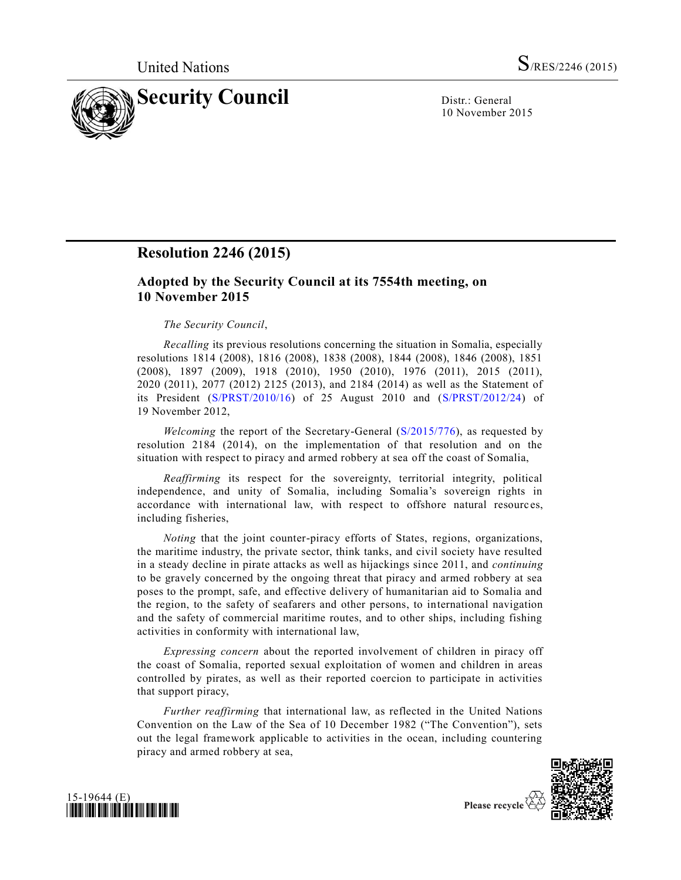

10 November 2015

## **Resolution 2246 (2015)**

## **Adopted by the Security Council at its 7554th meeting, on 10 November 2015**

## *The Security Council*,

*Recalling* its previous resolutions concerning the situation in Somalia, especially resolutions 1814 (2008), 1816 (2008), 1838 (2008), 1844 (2008), 1846 (2008), 1851 (2008), 1897 (2009), 1918 (2010), 1950 (2010), 1976 (2011), 2015 (2011), 2020 (2011), 2077 (2012) 2125 (2013), and 2184 (2014) as well as the Statement of its President [\(S/PRST/2010/16\)](http://undocs.org/S/PRST/2010/16) of 25 August 2010 and [\(S/PRST/2012/24\)](http://undocs.org/S/PRST/2012/24) of 19 November 2012,

*Welcoming* the report of the Secretary-General [\(S/2015/776\)](http://undocs.org/S/2015/776), as requested by resolution 2184 (2014), on the implementation of that resolution and on the situation with respect to piracy and armed robbery at sea off the coast of Somalia,

*Reaffirming* its respect for the sovereignty, territorial integrity, political independence, and unity of Somalia, including Somalia's sovereign rights in accordance with international law, with respect to offshore natural resourc es, including fisheries,

*Noting* that the joint counter-piracy efforts of States, regions, organizations, the maritime industry, the private sector, think tanks, and civil society have resulted in a steady decline in pirate attacks as well as hijackings since 2011, and *continuing* to be gravely concerned by the ongoing threat that piracy and armed robbery at sea poses to the prompt, safe, and effective delivery of humanitarian aid to Somalia and the region, to the safety of seafarers and other persons, to international navigation and the safety of commercial maritime routes, and to other ships, including fishing activities in conformity with international law,

*Expressing concern* about the reported involvement of children in piracy off the coast of Somalia, reported sexual exploitation of women and children in areas controlled by pirates, as well as their reported coercion to participate in activities that support piracy,

*Further reaffirming* that international law, as reflected in the United Nations Convention on the Law of the Sea of 10 December 1982 ("The Convention"), sets out the legal framework applicable to activities in the ocean, including countering piracy and armed robbery at sea,





Please recycle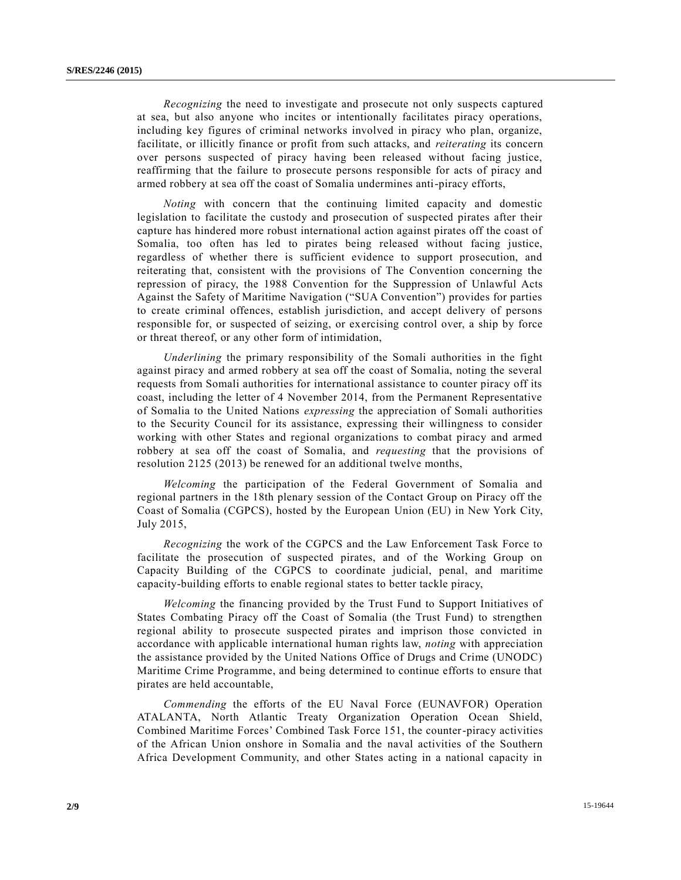*Recognizing* the need to investigate and prosecute not only suspects captured at sea, but also anyone who incites or intentionally facilitates piracy operations, including key figures of criminal networks involved in piracy who plan, organize, facilitate, or illicitly finance or profit from such attacks, and *reiterating* its concern over persons suspected of piracy having been released without facing justice, reaffirming that the failure to prosecute persons responsible for acts of piracy and armed robbery at sea off the coast of Somalia undermines anti-piracy efforts,

*Noting* with concern that the continuing limited capacity and domestic legislation to facilitate the custody and prosecution of suspected pirates after their capture has hindered more robust international action against pirates off the coast of Somalia, too often has led to pirates being released without facing justice, regardless of whether there is sufficient evidence to support prosecution, and reiterating that, consistent with the provisions of The Convention concerning the repression of piracy, the 1988 Convention for the Suppression of Unlawful Acts Against the Safety of Maritime Navigation ("SUA Convention") provides for parties to create criminal offences, establish jurisdiction, and accept delivery of persons responsible for, or suspected of seizing, or exercising control over, a ship by force or threat thereof, or any other form of intimidation,

*Underlining* the primary responsibility of the Somali authorities in the fight against piracy and armed robbery at sea off the coast of Somalia, noting the several requests from Somali authorities for international assistance to counter piracy off its coast, including the letter of 4 November 2014, from the Permanent Representative of Somalia to the United Nations *expressing* the appreciation of Somali authorities to the Security Council for its assistance, expressing their willingness to consider working with other States and regional organizations to combat piracy and armed robbery at sea off the coast of Somalia, and *requesting* that the provisions of resolution 2125 (2013) be renewed for an additional twelve months,

*Welcoming* the participation of the Federal Government of Somalia and regional partners in the 18th plenary session of the Contact Group on Piracy off the Coast of Somalia (CGPCS), hosted by the European Union (EU) in New York City, July 2015,

*Recognizing* the work of the CGPCS and the Law Enforcement Task Force to facilitate the prosecution of suspected pirates, and of the Working Group on Capacity Building of the CGPCS to coordinate judicial, penal, and maritime capacity-building efforts to enable regional states to better tackle piracy,

*Welcoming* the financing provided by the Trust Fund to Support Initiatives of States Combating Piracy off the Coast of Somalia (the Trust Fund) to strengthen regional ability to prosecute suspected pirates and imprison those convicted in accordance with applicable international human rights law, *noting* with appreciation the assistance provided by the United Nations Office of Drugs and Crime (UNODC) Maritime Crime Programme, and being determined to continue efforts to ensure that pirates are held accountable,

*Commending* the efforts of the EU Naval Force (EUNAVFOR) Operation ATALANTA, North Atlantic Treaty Organization Operation Ocean Shield, Combined Maritime Forces' Combined Task Force 151, the counter-piracy activities of the African Union onshore in Somalia and the naval activities of the Southern Africa Development Community, and other States acting in a national capacity in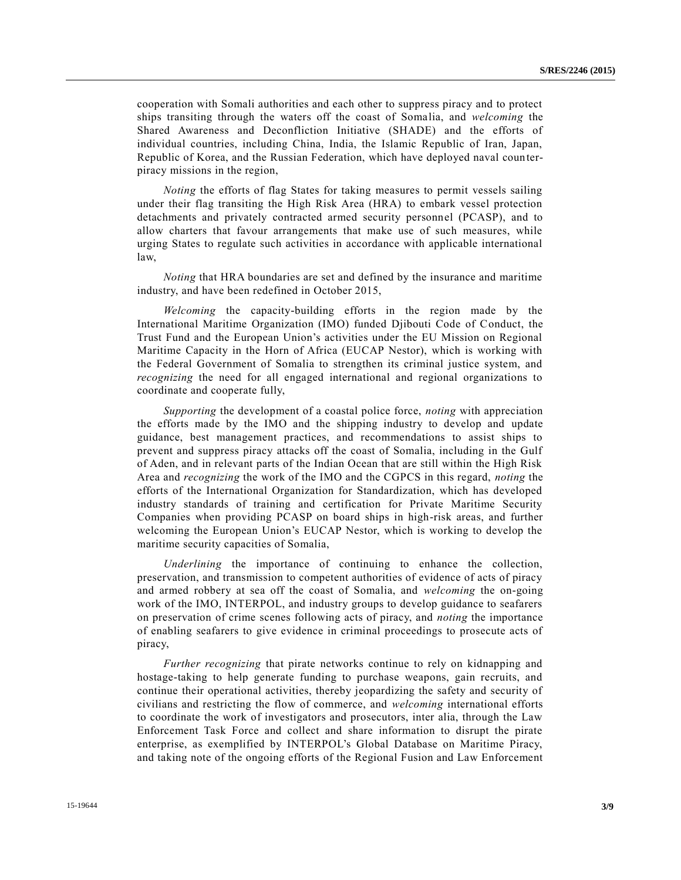cooperation with Somali authorities and each other to suppress piracy and to protect ships transiting through the waters off the coast of Somalia, and *welcoming* the Shared Awareness and Deconfliction Initiative (SHADE) and the efforts of individual countries, including China, India, the Islamic Republic of Iran, Japan, Republic of Korea, and the Russian Federation, which have deployed naval counterpiracy missions in the region,

*Noting* the efforts of flag States for taking measures to permit vessels sailing under their flag transiting the High Risk Area (HRA) to embark vessel protection detachments and privately contracted armed security personnel (PCASP), and to allow charters that favour arrangements that make use of such measures, while urging States to regulate such activities in accordance with applicable international law,

*Noting* that HRA boundaries are set and defined by the insurance and maritime industry, and have been redefined in October 2015,

*Welcoming* the capacity-building efforts in the region made by the International Maritime Organization (IMO) funded Djibouti Code of Conduct, the Trust Fund and the European Union's activities under the EU Mission on Regional Maritime Capacity in the Horn of Africa (EUCAP Nestor), which is working with the Federal Government of Somalia to strengthen its criminal justice system, and *recognizing* the need for all engaged international and regional organizations to coordinate and cooperate fully,

*Supporting* the development of a coastal police force, *noting* with appreciation the efforts made by the IMO and the shipping industry to develop and update guidance, best management practices, and recommendations to assist ships to prevent and suppress piracy attacks off the coast of Somalia, including in the Gulf of Aden, and in relevant parts of the Indian Ocean that are still within the High Risk Area and *recognizing* the work of the IMO and the CGPCS in this regard, *noting* the efforts of the International Organization for Standardization, which has developed industry standards of training and certification for Private Maritime Security Companies when providing PCASP on board ships in high-risk areas, and further welcoming the European Union's EUCAP Nestor, which is working to develop the maritime security capacities of Somalia,

*Underlining* the importance of continuing to enhance the collection, preservation, and transmission to competent authorities of evidence of acts of piracy and armed robbery at sea off the coast of Somalia, and *welcoming* the on-going work of the IMO, INTERPOL, and industry groups to develop guidance to seafarers on preservation of crime scenes following acts of piracy, and *noting* the importance of enabling seafarers to give evidence in criminal proceedings to prosecute acts of piracy,

*Further recognizing* that pirate networks continue to rely on kidnapping and hostage-taking to help generate funding to purchase weapons, gain recruits, and continue their operational activities, thereby jeopardizing the safety and security of civilians and restricting the flow of commerce, and *welcoming* international efforts to coordinate the work of investigators and prosecutors, inter alia, through the Law Enforcement Task Force and collect and share information to disrupt the pirate enterprise, as exemplified by INTERPOL's Global Database on Maritime Piracy, and taking note of the ongoing efforts of the Regional Fusion and Law Enforcement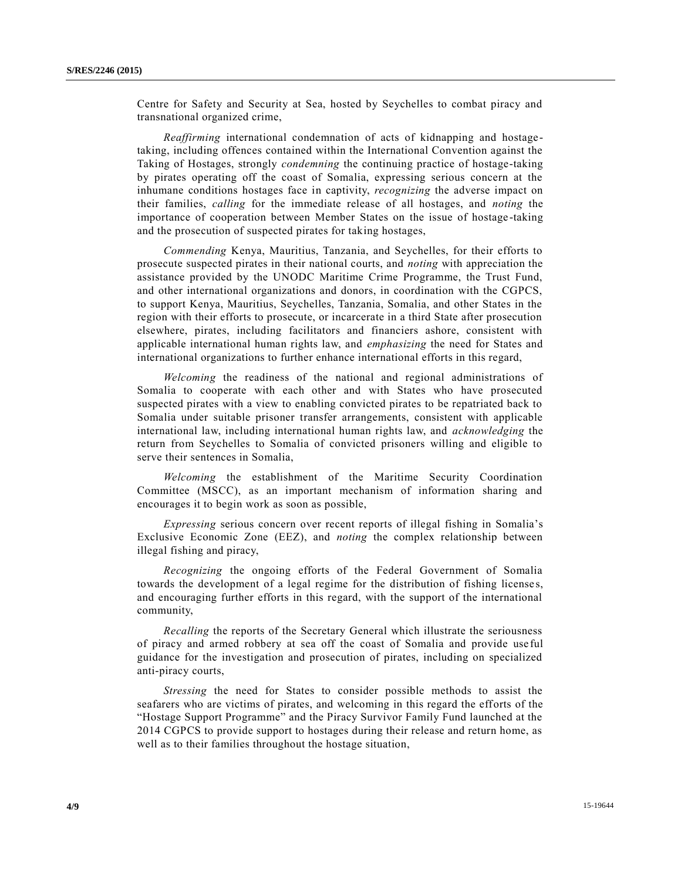Centre for Safety and Security at Sea, hosted by Seychelles to combat piracy and transnational organized crime,

*Reaffirming* international condemnation of acts of kidnapping and hostagetaking, including offences contained within the International Convention against the Taking of Hostages, strongly *condemning* the continuing practice of hostage-taking by pirates operating off the coast of Somalia, expressing serious concern at the inhumane conditions hostages face in captivity, *recognizing* the adverse impact on their families, *calling* for the immediate release of all hostages, and *noting* the importance of cooperation between Member States on the issue of hostage -taking and the prosecution of suspected pirates for taking hostages,

*Commending* Kenya, Mauritius, Tanzania, and Seychelles, for their efforts to prosecute suspected pirates in their national courts, and *noting* with appreciation the assistance provided by the UNODC Maritime Crime Programme, the Trust Fund, and other international organizations and donors, in coordination with the CGPCS, to support Kenya, Mauritius, Seychelles, Tanzania, Somalia, and other States in the region with their efforts to prosecute, or incarcerate in a third State after prosecution elsewhere, pirates, including facilitators and financiers ashore, consistent with applicable international human rights law, and *emphasizing* the need for States and international organizations to further enhance international efforts in this regard,

*Welcoming* the readiness of the national and regional administrations of Somalia to cooperate with each other and with States who have prosecuted suspected pirates with a view to enabling convicted pirates to be repatriated back to Somalia under suitable prisoner transfer arrangements, consistent with applicable international law, including international human rights law, and *acknowledging* the return from Seychelles to Somalia of convicted prisoners willing and eligible to serve their sentences in Somalia,

*Welcoming* the establishment of the Maritime Security Coordination Committee (MSCC), as an important mechanism of information sharing and encourages it to begin work as soon as possible,

*Expressing* serious concern over recent reports of illegal fishing in Somalia's Exclusive Economic Zone (EEZ), and *noting* the complex relationship between illegal fishing and piracy,

*Recognizing* the ongoing efforts of the Federal Government of Somalia towards the development of a legal regime for the distribution of fishing license s, and encouraging further efforts in this regard, with the support of the international community,

*Recalling* the reports of the Secretary General which illustrate the seriousness of piracy and armed robbery at sea off the coast of Somalia and provide use ful guidance for the investigation and prosecution of pirates, including on specialized anti-piracy courts,

*Stressing* the need for States to consider possible methods to assist the seafarers who are victims of pirates, and welcoming in this regard the efforts of the "Hostage Support Programme" and the Piracy Survivor Family Fund launched at the 2014 CGPCS to provide support to hostages during their release and return home, as well as to their families throughout the hostage situation,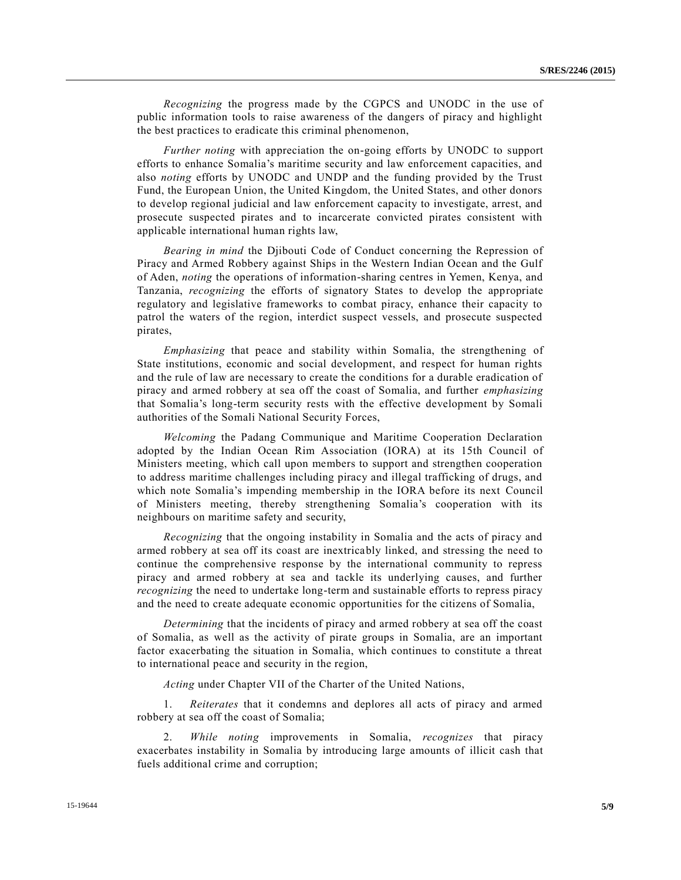*Recognizing* the progress made by the CGPCS and UNODC in the use of public information tools to raise awareness of the dangers of piracy and highlight the best practices to eradicate this criminal phenomenon,

*Further noting* with appreciation the on-going efforts by UNODC to support efforts to enhance Somalia's maritime security and law enforcement capacities, and also *noting* efforts by UNODC and UNDP and the funding provided by the Trust Fund, the European Union, the United Kingdom, the United States, and other donors to develop regional judicial and law enforcement capacity to investigate, arrest, and prosecute suspected pirates and to incarcerate convicted pirates consistent with applicable international human rights law,

*Bearing in mind* the Djibouti Code of Conduct concerning the Repression of Piracy and Armed Robbery against Ships in the Western Indian Ocean and the Gulf of Aden, *noting* the operations of information-sharing centres in Yemen, Kenya, and Tanzania, *recognizing* the efforts of signatory States to develop the appropriate regulatory and legislative frameworks to combat piracy, enhance their capacity to patrol the waters of the region, interdict suspect vessels, and prosecute suspected pirates,

*Emphasizing* that peace and stability within Somalia, the strengthening of State institutions, economic and social development, and respect for human rights and the rule of law are necessary to create the conditions for a durable eradication of piracy and armed robbery at sea off the coast of Somalia, and further *emphasizing* that Somalia's long-term security rests with the effective development by Somali authorities of the Somali National Security Forces,

*Welcoming* the Padang Communique and Maritime Cooperation Declaration adopted by the Indian Ocean Rim Association (IORA) at its 15th Council of Ministers meeting, which call upon members to support and strengthen cooperation to address maritime challenges including piracy and illegal trafficking of drugs, and which note Somalia's impending membership in the IORA before its next Council of Ministers meeting, thereby strengthening Somalia's cooperation with its neighbours on maritime safety and security,

*Recognizing* that the ongoing instability in Somalia and the acts of piracy and armed robbery at sea off its coast are inextricably linked, and stressing the need to continue the comprehensive response by the international community to repress piracy and armed robbery at sea and tackle its underlying causes, and further *recognizing* the need to undertake long-term and sustainable efforts to repress piracy and the need to create adequate economic opportunities for the citizens of Somalia,

*Determining* that the incidents of piracy and armed robbery at sea off the coast of Somalia, as well as the activity of pirate groups in Somalia, are an important factor exacerbating the situation in Somalia, which continues to constitute a threat to international peace and security in the region,

*Acting* under Chapter VII of the Charter of the United Nations,

1. *Reiterates* that it condemns and deplores all acts of piracy and armed robbery at sea off the coast of Somalia;

2. *While noting* improvements in Somalia, *recognizes* that piracy exacerbates instability in Somalia by introducing large amounts of illicit cash that fuels additional crime and corruption;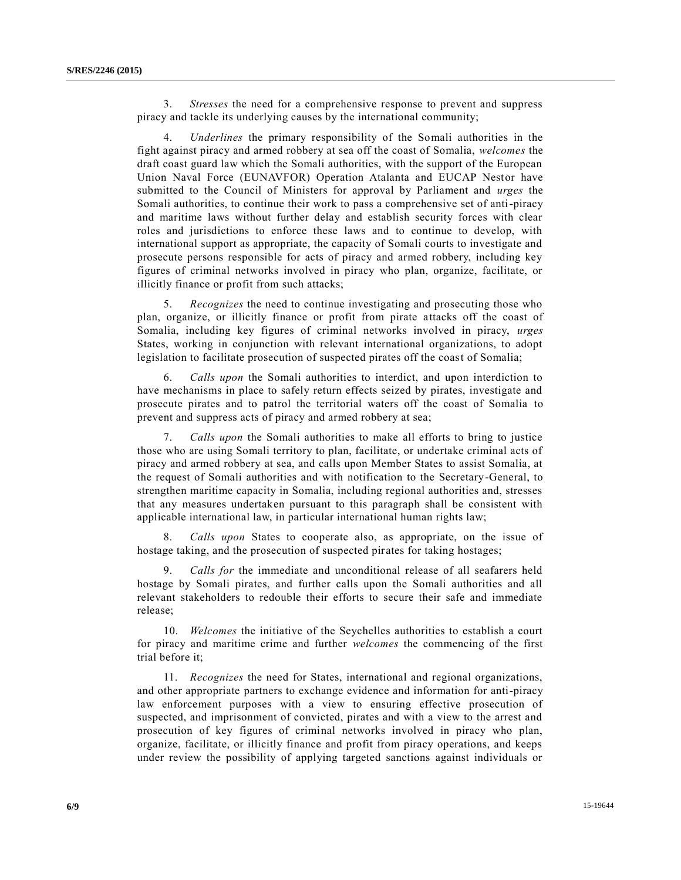3. *Stresses* the need for a comprehensive response to prevent and suppress piracy and tackle its underlying causes by the international community;

4. *Underlines* the primary responsibility of the Somali authorities in the fight against piracy and armed robbery at sea off the coast of Somalia, *welcomes* the draft coast guard law which the Somali authorities, with the support of the European Union Naval Force (EUNAVFOR) Operation Atalanta and EUCAP Nestor have submitted to the Council of Ministers for approval by Parliament and *urges* the Somali authorities, to continue their work to pass a comprehensive set of anti-piracy and maritime laws without further delay and establish security forces with clear roles and jurisdictions to enforce these laws and to continue to develop, with international support as appropriate, the capacity of Somali courts to investigate and prosecute persons responsible for acts of piracy and armed robbery, including key figures of criminal networks involved in piracy who plan, organize, facilitate, or illicitly finance or profit from such attacks;

5. *Recognizes* the need to continue investigating and prosecuting those who plan, organize, or illicitly finance or profit from pirate attacks off the coast of Somalia, including key figures of criminal networks involved in piracy, *urges* States, working in conjunction with relevant international organizations, to adopt legislation to facilitate prosecution of suspected pirates off the coast of Somalia;

6. *Calls upon* the Somali authorities to interdict, and upon interdiction to have mechanisms in place to safely return effects seized by pirates, investigate and prosecute pirates and to patrol the territorial waters off the coast of Somalia to prevent and suppress acts of piracy and armed robbery at sea;

7. *Calls upon* the Somali authorities to make all efforts to bring to justice those who are using Somali territory to plan, facilitate, or undertake criminal acts of piracy and armed robbery at sea, and calls upon Member States to assist Somalia, at the request of Somali authorities and with notification to the Secretary-General, to strengthen maritime capacity in Somalia, including regional authorities and, stresses that any measures undertaken pursuant to this paragraph shall be consistent with applicable international law, in particular international human rights law;

8. *Calls upon* States to cooperate also, as appropriate, on the issue of hostage taking, and the prosecution of suspected pirates for taking hostages;

9. *Calls for* the immediate and unconditional release of all seafarers held hostage by Somali pirates, and further calls upon the Somali authorities and all relevant stakeholders to redouble their efforts to secure their safe and immediate release;

10. *Welcomes* the initiative of the Seychelles authorities to establish a court for piracy and maritime crime and further *welcomes* the commencing of the first trial before it;

11. *Recognizes* the need for States, international and regional organizations, and other appropriate partners to exchange evidence and information for anti-piracy law enforcement purposes with a view to ensuring effective prosecution of suspected, and imprisonment of convicted, pirates and with a view to the arrest and prosecution of key figures of criminal networks involved in piracy who plan, organize, facilitate, or illicitly finance and profit from piracy operations, and keeps under review the possibility of applying targeted sanctions against individuals or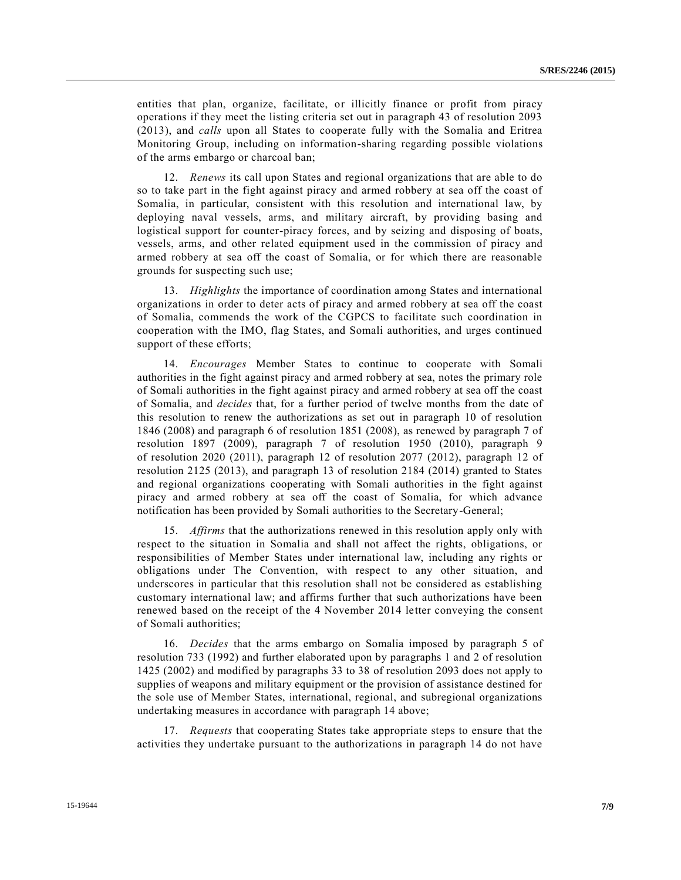entities that plan, organize, facilitate, or illicitly finance or profit from piracy operations if they meet the listing criteria set out in paragraph 43 of resolution 2093 (2013), and *calls* upon all States to cooperate fully with the Somalia and Eritrea Monitoring Group, including on information-sharing regarding possible violations of the arms embargo or charcoal ban;

12. *Renews* its call upon States and regional organizations that are able to do so to take part in the fight against piracy and armed robbery at sea off the coast of Somalia, in particular, consistent with this resolution and international law, by deploying naval vessels, arms, and military aircraft, by providing basing and logistical support for counter-piracy forces, and by seizing and disposing of boats, vessels, arms, and other related equipment used in the commission of piracy and armed robbery at sea off the coast of Somalia, or for which there are reasonable grounds for suspecting such use;

13. *Highlights* the importance of coordination among States and international organizations in order to deter acts of piracy and armed robbery at sea off the coast of Somalia, commends the work of the CGPCS to facilitate such coordination in cooperation with the IMO, flag States, and Somali authorities, and urges continued support of these efforts;

14. *Encourages* Member States to continue to cooperate with Somali authorities in the fight against piracy and armed robbery at sea, notes the primary role of Somali authorities in the fight against piracy and armed robbery at sea off the coast of Somalia, and *decides* that, for a further period of twelve months from the date of this resolution to renew the authorizations as set out in paragraph 10 of resolution 1846 (2008) and paragraph 6 of resolution 1851 (2008), as renewed by paragraph 7 of resolution 1897 (2009), paragraph 7 of resolution 1950 (2010), paragraph 9 of resolution 2020 (2011), paragraph 12 of resolution 2077 (2012), paragraph 12 of resolution 2125 (2013), and paragraph 13 of resolution 2184 (2014) granted to States and regional organizations cooperating with Somali authorities in the fight against piracy and armed robbery at sea off the coast of Somalia, for which advance notification has been provided by Somali authorities to the Secretary-General;

15. *Affirms* that the authorizations renewed in this resolution apply only with respect to the situation in Somalia and shall not affect the rights, obligations, or responsibilities of Member States under international law, including any rights or obligations under The Convention, with respect to any other situation, and underscores in particular that this resolution shall not be considered as establishing customary international law; and affirms further that such authorizations have been renewed based on the receipt of the 4 November 2014 letter conveying the consent of Somali authorities;

16. *Decides* that the arms embargo on Somalia imposed by paragraph 5 of resolution 733 (1992) and further elaborated upon by paragraphs 1 and 2 of resolution 1425 (2002) and modified by paragraphs 33 to 38 of resolution 2093 does not apply to supplies of weapons and military equipment or the provision of assistance destined for the sole use of Member States, international, regional, and subregional organizations undertaking measures in accordance with paragraph 14 above;

17. *Requests* that cooperating States take appropriate steps to ensure that the activities they undertake pursuant to the authorizations in paragraph 14 do not have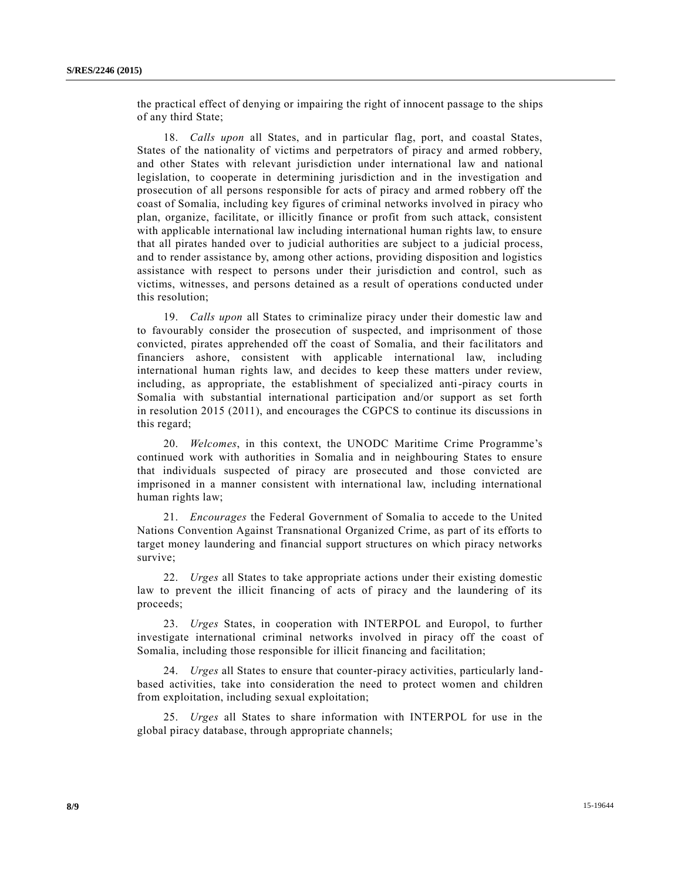the practical effect of denying or impairing the right of innocent passage to the ships of any third State;

18. *Calls upon* all States, and in particular flag, port, and coastal States, States of the nationality of victims and perpetrators of piracy and armed robbery, and other States with relevant jurisdiction under international law and national legislation, to cooperate in determining jurisdiction and in the investigation and prosecution of all persons responsible for acts of piracy and armed robbery off the coast of Somalia, including key figures of criminal networks involved in piracy who plan, organize, facilitate, or illicitly finance or profit from such attack, consistent with applicable international law including international human rights law, to ensure that all pirates handed over to judicial authorities are subject to a judicial process, and to render assistance by, among other actions, providing disposition and logistics assistance with respect to persons under their jurisdiction and control, such as victims, witnesses, and persons detained as a result of operations conducted under this resolution;

19. *Calls upon* all States to criminalize piracy under their domestic law and to favourably consider the prosecution of suspected, and imprisonment of those convicted, pirates apprehended off the coast of Somalia, and their fac ilitators and financiers ashore, consistent with applicable international law, including international human rights law, and decides to keep these matters under review, including, as appropriate, the establishment of specialized anti-piracy courts in Somalia with substantial international participation and/or support as set forth in resolution 2015 (2011), and encourages the CGPCS to continue its discussions in this regard;

20. *Welcomes*, in this context, the UNODC Maritime Crime Programme's continued work with authorities in Somalia and in neighbouring States to ensure that individuals suspected of piracy are prosecuted and those convicted are imprisoned in a manner consistent with international law, including international human rights law;

21. *Encourages* the Federal Government of Somalia to accede to the United Nations Convention Against Transnational Organized Crime, as part of its efforts to target money laundering and financial support structures on which piracy networks survive;

22. *Urges* all States to take appropriate actions under their existing domestic law to prevent the illicit financing of acts of piracy and the laundering of its proceeds;

23. *Urges* States, in cooperation with INTERPOL and Europol, to further investigate international criminal networks involved in piracy off the coast of Somalia, including those responsible for illicit financing and facilitation;

24. *Urges* all States to ensure that counter-piracy activities, particularly landbased activities, take into consideration the need to protect women and children from exploitation, including sexual exploitation;

25. *Urges* all States to share information with INTERPOL for use in the global piracy database, through appropriate channels;